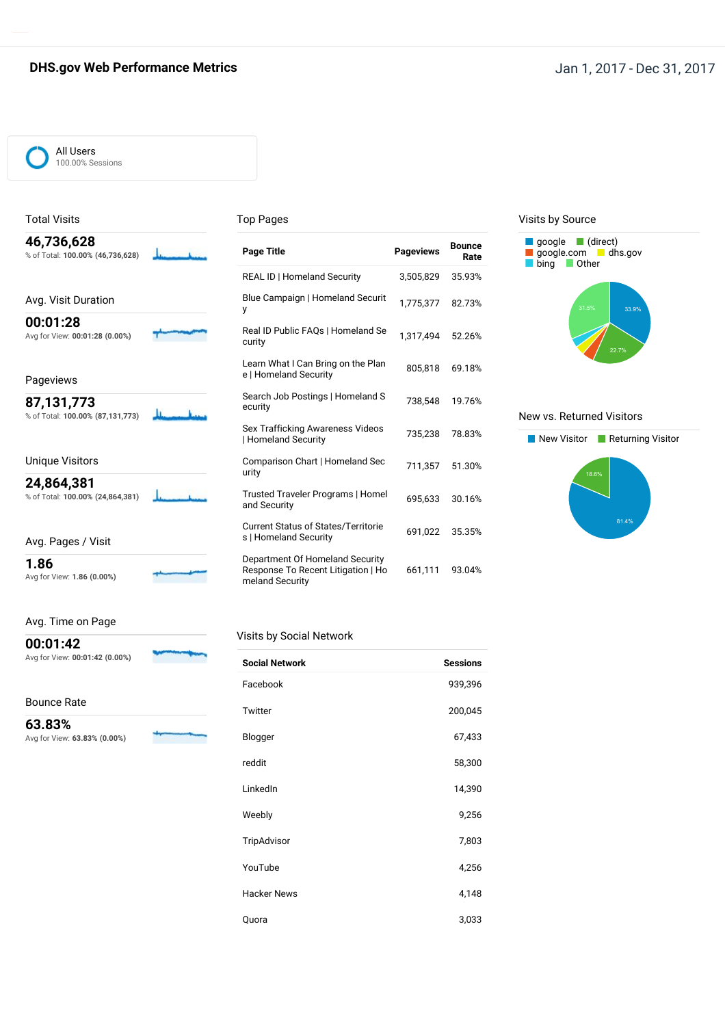### **DHS.gov Web Performance Metrics Jan 1, 2017 - Dec 31, 2017**

#### All Users 100.00% Sessions

Total Visits

### Top Pages

| Page 1             |
|--------------------|
| <b>REAL</b>        |
| <b>Blue C</b><br>у |
| Real ID<br>curity  |
| Learn<br>e ∣ Hor   |
| Search<br>ecurity  |
| Sex Tr<br>l Hom    |
|                    |

### Unique Visitors

**24,864,381** % of Total: **100.00% (24,864,381)**

### Avg. Pages / Visit

**1.86** Avg for View: **1.86 (0.00%)**

Avg. Time on Page

## **00:01:42**

Avg for View: **00:01:42 (0.00%)**

Bounce Rate

**63.83%**

Avg for View: **63.83% (0.00%)**

| <b>Page Title</b>                                                                        | <b>Pageviews</b> | <b>Bounce</b><br>Rate |
|------------------------------------------------------------------------------------------|------------------|-----------------------|
| <b>REAL ID   Homeland Security</b>                                                       | 3,505,829        | 35.93%                |
| Blue Campaign   Homeland Securit<br>у                                                    | 1.775.377        | 82.73%                |
| Real ID Public FAQs   Homeland Se<br>curity                                              | 1,317,494        | 52.26%                |
| Learn What I Can Bring on the Plan<br>e   Homeland Security                              | 805,818          | 69.18%                |
| Search Job Postings   Homeland S<br>ecurity                                              | 738,548          | 19.76%                |
| Sex Trafficking Awareness Videos<br>  Homeland Security                                  | 735,238          | 78.83%                |
| Comparison Chart   Homeland Sec<br>urity                                                 | 711,357          | 51.30%                |
| Trusted Traveler Programs   Homel<br>and Security                                        | 695,633          | 30.16%                |
| <b>Current Status of States/Territorie</b><br>s   Homeland Security                      | 691.022          | 35.35%                |
| Department Of Homeland Security<br>Response To Recent Litigation   Ho<br>meland Security | 661,111          | 93.04%                |

### Visits by Source



#### New vs. Returned Visitors



#### Visits by Social Network

| <b>Social Network</b> | <b>Sessions</b> |
|-----------------------|-----------------|
| Facebook              | 939,396         |
| Twitter               | 200,045         |
| Blogger               | 67,433          |
| reddit                | 58,300          |
| LinkedIn              | 14,390          |
| Weebly                | 9,256           |
| TripAdvisor           | 7,803           |
| YouTube               | 4,256           |
| <b>Hacker News</b>    | 4,148           |
| Quora                 | 3,033           |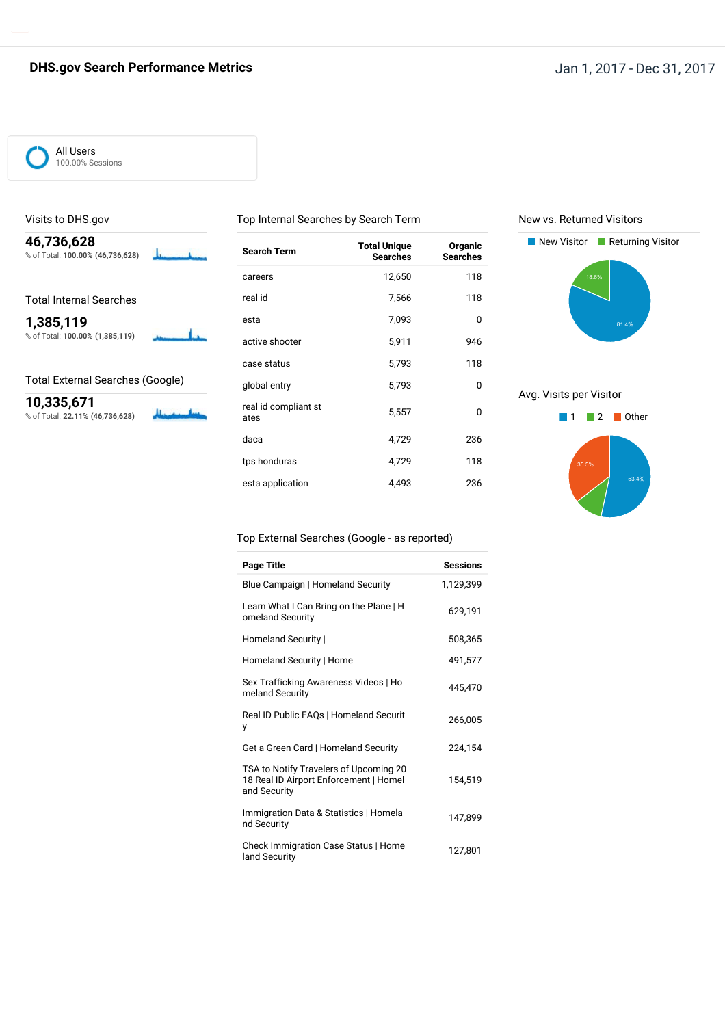### **DHS.gov Search Performance Metrics Jan 1, 2017 - Dec 31, 2017**

Π

All Users 100.00% Sessions

Visits to DHS.gov

% of Total: **100.00% (46,736,628)**

Total Internal Searches

% of Total: **100.00% (1,385,119)**

Total External Searches (Google)

**46,736,628**

**1,385,119**

**10,335,671** % of Total: **22.11% (46,736,628)**

### Top Internal Searches by Search Term

New vs. Returned Visitors



Avg. Visits per Visitor



### Top External Searches (Google - as reported)

global entry 5,793 0 real id compliant st 5,557 0

daca 4,729 236 tps honduras 118 esta application and 4,493 and 4,493

| Page Title                                                                                       | <b>Sessions</b> |
|--------------------------------------------------------------------------------------------------|-----------------|
| Blue Campaign   Homeland Security                                                                | 1,129,399       |
| Learn What I Can Bring on the Plane   H<br>omeland Security                                      | 629,191         |
| Homeland Security                                                                                | 508,365         |
| Homeland Security   Home                                                                         | 491,577         |
| Sex Trafficking Awareness Videos   Ho<br>meland Security                                         | 445.470         |
| Real ID Public FAQs   Homeland Securit<br>у                                                      | 266,005         |
| Get a Green Card   Homeland Security                                                             | 224,154         |
| TSA to Notify Travelers of Upcoming 20<br>18 Real ID Airport Enforcement   Homel<br>and Security | 154,519         |
| Immigration Data & Statistics   Homela<br>nd Security                                            | 147,899         |
| Check Immigration Case Status   Home<br>land Security                                            | 127,801         |

ates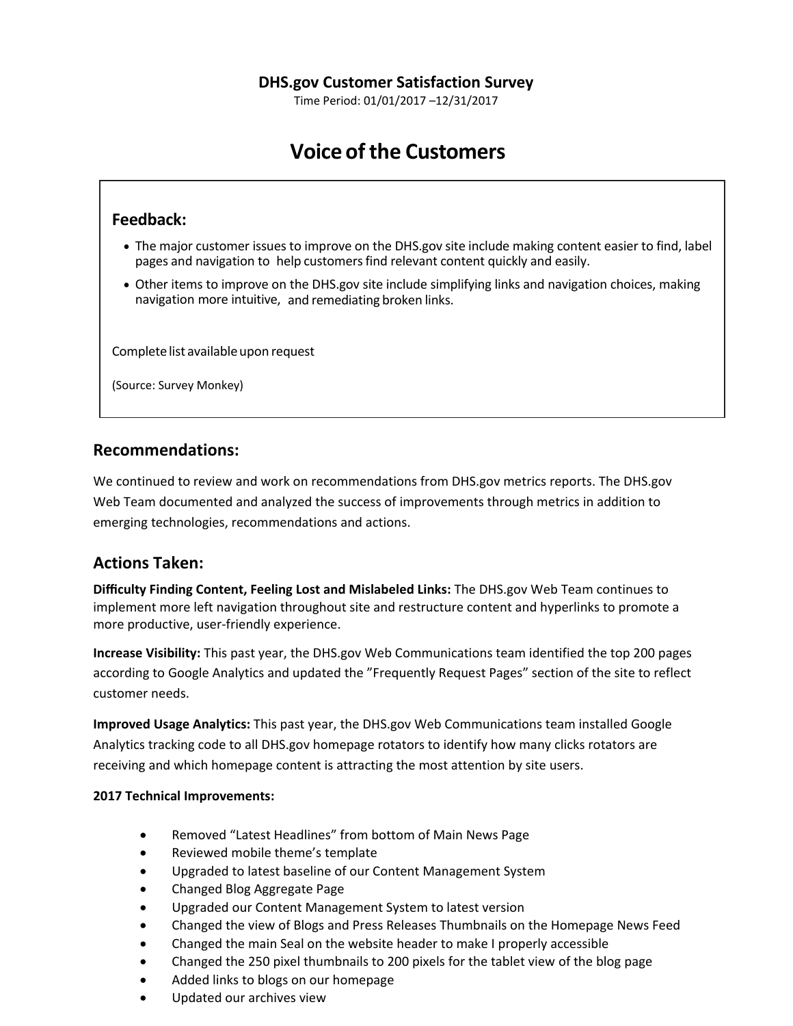Time Period: 01/01/2017 –12/31/2017

# **Voice ofthe Customers**

## **Feedback:**

- The major customer issues to improve on the DHS.gov site include making content easier to find, label pages and navigation to help customersfind relevant content quickly and easily.
- Other items to improve on the DHS.gov site include simplifying links and navigation choices, making navigation more intuitive, and remediating broken links.

Complete list available upon request

(Source: Survey Monkey)

### **Recommendations:**

We continued to review and work on recommendations from DHS.gov metrics reports. The DHS.gov Web Team documented and analyzed the success of improvements through metrics in addition to emerging technologies, recommendations and actions.

### **Actions Taken:**

**Difficulty Finding Content, Feeling Lost and Mislabeled Links:** The DHS.gov Web Team continues to implement more left navigation throughout site and restructure content and hyperlinks to promote a more productive, user-friendly experience.

**Increase Visibility:** This past year, the DHS.gov Web Communications team identified the top 200 pages according to Google Analytics and updated the "Frequently Request Pages" section of the site to reflect customer needs.

**Improved Usage Analytics:** This past year, the DHS.gov Web Communications team installed Google Analytics tracking code to all DHS.gov homepage rotators to identify how many clicks rotators are receiving and which homepage content is attracting the most attention by site users.

### **2017 Technical Improvements:**

- Removed "Latest Headlines" from bottom of Main News Page
- Reviewed mobile theme's template
- Upgraded to latest baseline of our Content Management System
- Changed Blog Aggregate Page
- Upgraded our Content Management System to latest version
- Changed the view of Blogs and Press Releases Thumbnails on the Homepage News Feed
- Changed the main Seal on the website header to make I properly accessible
- Changed the 250 pixel thumbnails to 200 pixels for the tablet view of the blog page
- Added links to blogs on our homepage
- Updated our archives view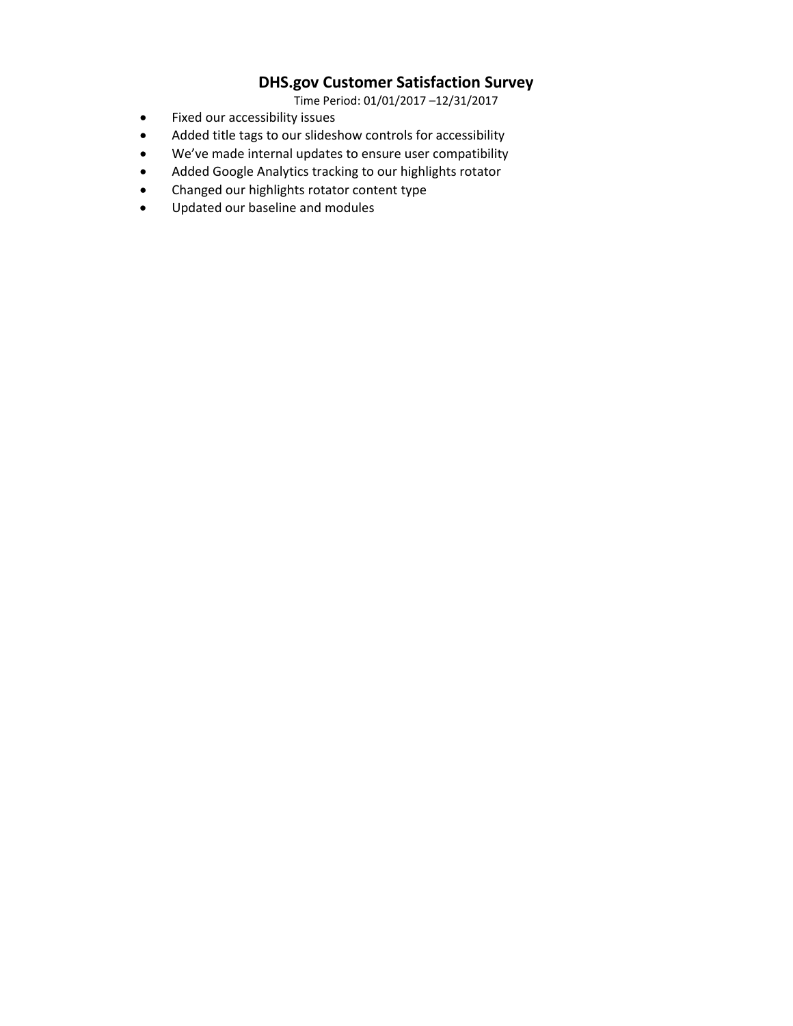## **DHS.gov Customer Satisfaction Survey**

Time Period: 01/01/2017 –12/31/2017

- Fixed our accessibility issues
- Added title tags to our slideshow controls for accessibility
- We've made internal updates to ensure user compatibility
- Added Google Analytics tracking to our highlights rotator
- Changed our highlights rotator content type
- Updated our baseline and modules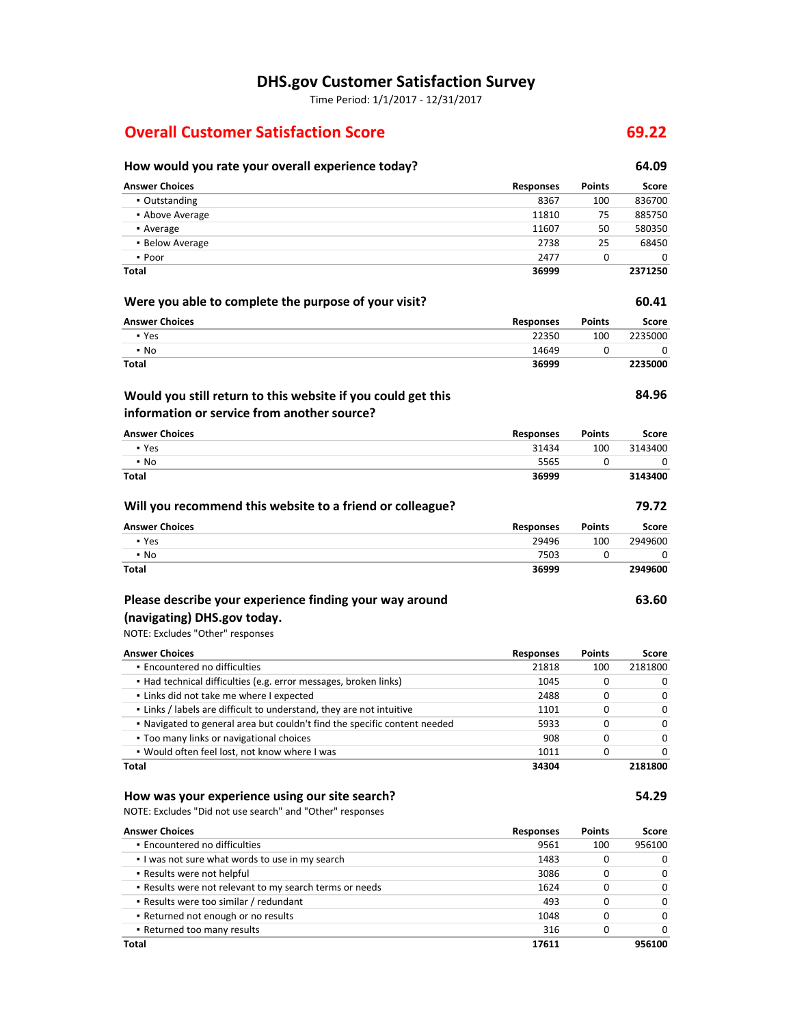# **DHS.gov Customer Satisfaction Survey**

Time Period: 1/1/2017 - 12/31/2017

# **Overall Customer Satisfaction Score 69.22**

| How would you rate your overall experience today?                             |                  |               | 64.09        |
|-------------------------------------------------------------------------------|------------------|---------------|--------------|
| <b>Answer Choices</b>                                                         | <b>Responses</b> | <b>Points</b> | <b>Score</b> |
| • Outstanding                                                                 | 8367             | 100           | 836700       |
| • Above Average                                                               | 11810            | 75            | 885750       |
| • Average                                                                     | 11607            | 50            | 580350       |
| • Below Average                                                               | 2738             | 25            | 68450        |
| • Poor                                                                        | 2477             | $\mathbf{0}$  | 0            |
| <b>Total</b>                                                                  | 36999            |               | 2371250      |
| Were you able to complete the purpose of your visit?                          |                  |               | 60.41        |
| <b>Answer Choices</b>                                                         | <b>Responses</b> | <b>Points</b> | <b>Score</b> |
| • Yes                                                                         | 22350            | 100           | 2235000      |
| $\blacksquare$ No                                                             | 14649            | 0             | 0            |
| <b>Total</b>                                                                  | 36999            |               | 2235000      |
| Would you still return to this website if you could get this                  |                  |               | 84.96        |
| information or service from another source?                                   |                  |               |              |
| <b>Answer Choices</b>                                                         | <b>Responses</b> | <b>Points</b> | <b>Score</b> |
| • Yes                                                                         | 31434            | 100           | 3143400      |
| $\blacksquare$ No                                                             | 5565             | 0             | 0            |
| <b>Total</b>                                                                  | 36999            |               | 3143400      |
| Will you recommend this website to a friend or colleague?                     |                  |               | 79.72        |
| <b>Answer Choices</b>                                                         | <b>Responses</b> | <b>Points</b> | <b>Score</b> |
| • Yes                                                                         | 29496            | 100           | 2949600      |
| $\blacksquare$ No                                                             | 7503             | 0             | 0            |
| <b>Total</b>                                                                  | 36999            |               | 2949600      |
| Please describe your experience finding your way around                       |                  |               | 63.60        |
| (navigating) DHS.gov today.                                                   |                  |               |              |
| NOTE: Excludes "Other" responses                                              |                  |               |              |
| <b>Answer Choices</b>                                                         | <b>Responses</b> | <b>Points</b> | <b>Score</b> |
| · Encountered no difficulties                                                 | 21818            | 100           | 2181800      |
| • Had technical difficulties (e.g. error messages, broken links)              | 1045             | 0             | 0            |
| - Links did not take me where I expected                                      | 2488             | 0             | 0            |
| . Links / labels are difficult to understand, they are not intuitive          | 1101             | 0             | 0            |
| . Navigated to general area but couldn't find the specific content needed     | 5933             | 0             | 0            |
| . Too many links or navigational choices                                      | 908              | 0             | 0            |
| . Would often feel lost, not know where I was                                 | 1011             | $\mathbf 0$   | 0            |
| <b>Total</b>                                                                  | 34304            |               | 2181800      |
| How was your experience using our site search?                                |                  |               | 54.29        |
| NOTE: Excludes "Did not use search" and "Other" responses                     |                  |               |              |
| <b>Answer Choices</b>                                                         | <b>Responses</b> | <b>Points</b> | <b>Score</b> |
| · Encountered no difficulties                                                 | 9561             | 100           | 956100       |
| I was not sure what words to use in my search                                 | 1483             | 0             | 0            |
| - Results were not helpful                                                    | 3086             | 0             | 0            |
| . Results were not relevant to my search terms or needs                       | 1624             | 0             | 0            |
| - Results were too similar / redundant<br>- Returned not enough or no results | 493<br>1048      | 0<br>0        | 0<br>0       |
| - Returned too many results                                                   | 316              | 0             | 0            |
|                                                                               |                  |               |              |